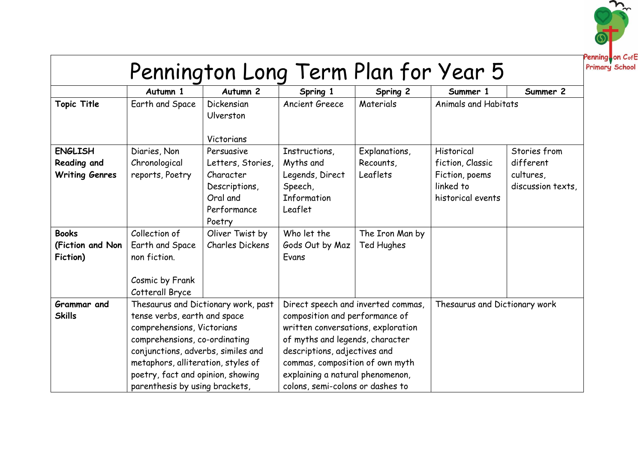

|                                                                                             | Autumn 1                                                                                                                                                                                                       | Autumn <sub>2</sub>                                                                                                               | Spring 1                                                                                                                                                                                                         | Spring 2                                               | Summer 1                                                             | Summer 2                                    |
|---------------------------------------------------------------------------------------------|----------------------------------------------------------------------------------------------------------------------------------------------------------------------------------------------------------------|-----------------------------------------------------------------------------------------------------------------------------------|------------------------------------------------------------------------------------------------------------------------------------------------------------------------------------------------------------------|--------------------------------------------------------|----------------------------------------------------------------------|---------------------------------------------|
| <b>Topic Title</b>                                                                          | Earth and Space                                                                                                                                                                                                | Dickensian<br>Ulverston                                                                                                           | Ancient Greece                                                                                                                                                                                                   | Materials                                              | <b>Animals and Habitats</b>                                          |                                             |
|                                                                                             |                                                                                                                                                                                                                | Victorians                                                                                                                        |                                                                                                                                                                                                                  |                                                        |                                                                      |                                             |
| <b>ENGLISH</b>                                                                              | Diaries, Non                                                                                                                                                                                                   | Persuasive                                                                                                                        | Instructions,                                                                                                                                                                                                    | Explanations,                                          | Historical                                                           | Stories from                                |
| <b>Reading and</b><br><b>Writing Genres</b><br><b>Books</b><br>(Fiction and Non<br>Fiction) | Chronological<br>reports, Poetry<br>Collection of<br>Earth and Space<br>non fiction.                                                                                                                           | Letters, Stories,<br>Character<br>Descriptions,<br>Oral and<br>Performance<br>Poetry<br>Oliver Twist by<br><b>Charles Dickens</b> | Myths and<br>Legends, Direct<br>Speech,<br><b>Information</b><br>Leaflet<br>Who let the<br>Gods Out by Maz<br>Evans                                                                                              | Recounts,<br>Leaflets<br>The Iron Man by<br>Ted Hughes | fiction, Classic<br>Fiction, poems<br>linked to<br>historical events | different<br>cultures,<br>discussion texts, |
|                                                                                             | Cosmic by Frank<br>Cotterall Bryce                                                                                                                                                                             |                                                                                                                                   |                                                                                                                                                                                                                  |                                                        |                                                                      |                                             |
| Grammar and<br><b>Skills</b>                                                                | Thesaurus and Dictionary work, past<br>tense verbs, earth and space<br>comprehensions, Victorians<br>comprehensions, co-ordinating<br>conjunctions, adverbs, similes and<br>metaphors, alliteration, styles of |                                                                                                                                   | Direct speech and inverted commas,<br>composition and performance of<br>written conversations, exploration<br>of myths and legends, character<br>descriptions, adjectives and<br>commas, composition of own myth |                                                        | Thesaurus and Dictionary work                                        |                                             |
|                                                                                             | poetry, fact and opinion, showing<br>parenthesis by using brackets,                                                                                                                                            |                                                                                                                                   | explaining a natural phenomenon,<br>colons, semi-colons or dashes to                                                                                                                                             |                                                        |                                                                      |                                             |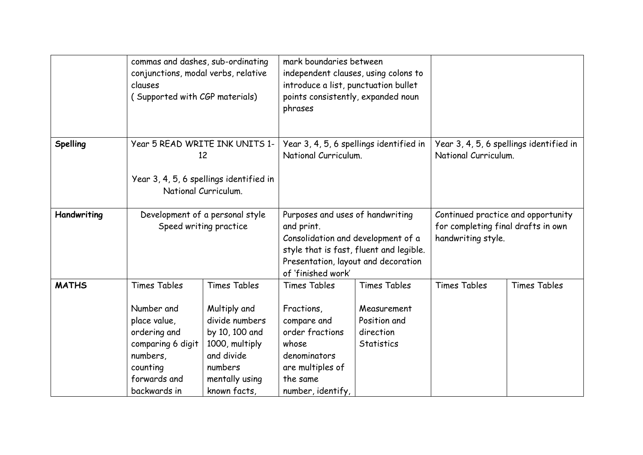|              | commas and dashes, sub-ordinating<br>conjunctions, modal verbs, relative<br>clauses<br>(Supported with CGP materials)                          |                                                                                                                                                      | mark boundaries between<br>independent clauses, using colons to<br>introduce a list, punctuation bullet<br>points consistently, expanded noun<br>phrases                                     |                                                                                      |                                                                                                |                     |
|--------------|------------------------------------------------------------------------------------------------------------------------------------------------|------------------------------------------------------------------------------------------------------------------------------------------------------|----------------------------------------------------------------------------------------------------------------------------------------------------------------------------------------------|--------------------------------------------------------------------------------------|------------------------------------------------------------------------------------------------|---------------------|
| Spelling     | Year 5 READ WRITE INK UNITS 1-<br>12<br>Year 3, 4, 5, 6 spellings identified in<br>National Curriculum.                                        |                                                                                                                                                      | Year 3, 4, 5, 6 spellings identified in<br>National Curriculum.                                                                                                                              |                                                                                      | Year 3, 4, 5, 6 spellings identified in<br>National Curriculum.                                |                     |
| Handwriting  | Development of a personal style<br>Speed writing practice                                                                                      |                                                                                                                                                      | Purposes and uses of handwriting<br>and print.<br>Consolidation and development of a<br>style that is fast, fluent and legible.<br>Presentation, layout and decoration<br>of 'finished work' |                                                                                      | Continued practice and opportunity<br>for completing final drafts in own<br>handwriting style. |                     |
| <b>MATHS</b> | <b>Times Tables</b><br>Number and<br>place value,<br>ordering and<br>comparing 6 digit<br>numbers,<br>counting<br>forwards and<br>backwards in | <b>Times Tables</b><br>Multiply and<br>divide numbers<br>by 10, 100 and<br>1000, multiply<br>and divide<br>numbers<br>mentally using<br>known facts, | <b>Times Tables</b><br>Fractions,<br>compare and<br>order fractions<br>whose<br>denominators<br>are multiples of<br>the same<br>number, identify,                                            | <b>Times Tables</b><br>Measurement<br>Position and<br>direction<br><b>Statistics</b> | <b>Times Tables</b>                                                                            | <b>Times Tables</b> |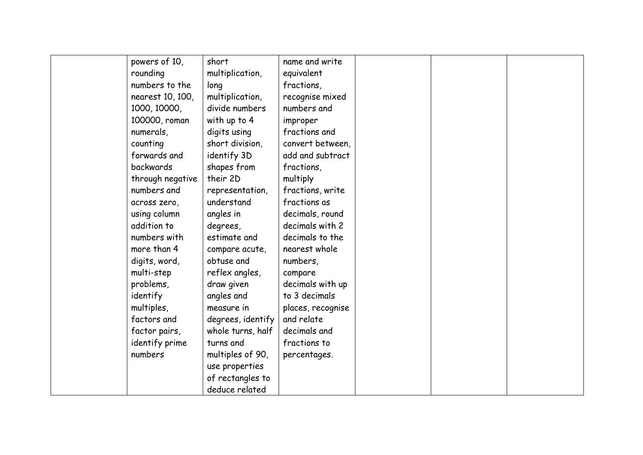| powers of 10,    | short             | name and write    |  |  |
|------------------|-------------------|-------------------|--|--|
| rounding         | multiplication,   | equivalent        |  |  |
| numbers to the   | long              | fractions,        |  |  |
| nearest 10, 100, | multiplication,   | recognise mixed   |  |  |
| 1000, 10000,     | divide numbers    | numbers and       |  |  |
| 100000, roman    | with up to 4      | improper          |  |  |
| numerals,        | digits using      | fractions and     |  |  |
| counting         | short division,   | convert between,  |  |  |
| forwards and     | identify 3D       | add and subtract  |  |  |
| backwards        | shapes from       | fractions,        |  |  |
| through negative | their 2D          | multiply          |  |  |
| numbers and      | representation,   | fractions, write  |  |  |
| across zero,     | understand        | fractions as      |  |  |
| using column     | angles in         | decimals, round   |  |  |
| addition to      | degrees,          | decimals with 2   |  |  |
| numbers with     | estimate and      | decimals to the   |  |  |
| more than 4      | compare acute,    | nearest whole     |  |  |
| digits, word,    | obtuse and        | numbers,          |  |  |
| multi-step       | reflex angles,    | compare           |  |  |
| problems,        | draw given        | decimals with up  |  |  |
| identify         | angles and        | to 3 decimals     |  |  |
| multiples,       | measure in        | places, recognise |  |  |
| factors and      | degrees, identify | and relate        |  |  |
| factor pairs,    | whole turns, half | decimals and      |  |  |
| identify prime   | turns and         | fractions to      |  |  |
| numbers          | multiples of 90,  | percentages.      |  |  |
|                  | use properties    |                   |  |  |
|                  | of rectangles to  |                   |  |  |
|                  | deduce related    |                   |  |  |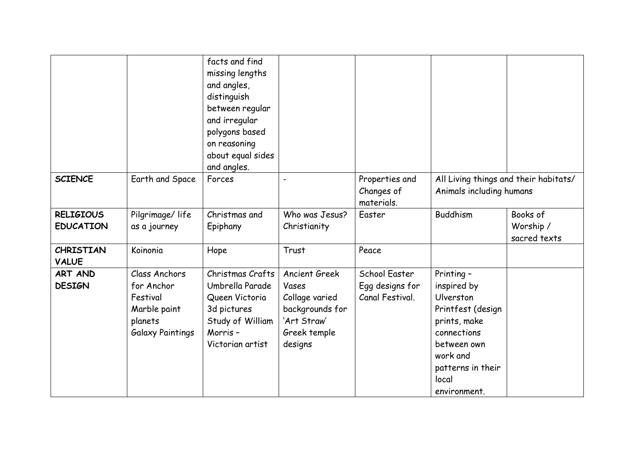|                                  |                                                                                               | facts and find<br>missing lengths<br>and angles,<br>distinguish<br>between regular<br>and irregular<br>polygons based<br>on reasoning<br>about equal sides |                                                                                                              |                                                     |                                                                                                                                                                     |                           |
|----------------------------------|-----------------------------------------------------------------------------------------------|------------------------------------------------------------------------------------------------------------------------------------------------------------|--------------------------------------------------------------------------------------------------------------|-----------------------------------------------------|---------------------------------------------------------------------------------------------------------------------------------------------------------------------|---------------------------|
|                                  |                                                                                               | and angles.                                                                                                                                                |                                                                                                              |                                                     |                                                                                                                                                                     |                           |
| <b>SCIENCE</b>                   | Earth and Space                                                                               | Forces                                                                                                                                                     |                                                                                                              | Properties and<br>Changes of<br>materials.          | All Living things and their habitats/<br>Animals including humans                                                                                                   |                           |
| <b>RELIGIOUS</b>                 | Pilgrimage/life                                                                               | Christmas and                                                                                                                                              | Who was Jesus?                                                                                               | Easter                                              | <b>Buddhism</b>                                                                                                                                                     | Books of                  |
| <b>EDUCATION</b>                 | as a journey                                                                                  | Epiphany                                                                                                                                                   | Christianity                                                                                                 |                                                     |                                                                                                                                                                     | Worship /<br>sacred texts |
| <b>CHRISTIAN</b><br><b>VALUE</b> | Koinonia                                                                                      | Hope                                                                                                                                                       | Trust                                                                                                        | Peace                                               |                                                                                                                                                                     |                           |
| <b>ART AND</b><br><b>DESIGN</b>  | Class Anchors<br>for Anchor<br>Festival<br>Marble paint<br>planets<br><b>Galaxy Paintings</b> | Christmas Crafts<br>Umbrella Parade<br>Queen Victoria<br>3d pictures<br>Study of William<br>Morris-<br>Victorian artist                                    | <b>Ancient Greek</b><br>Vases<br>Collage varied<br>backgrounds for<br>'Art Straw'<br>Greek temple<br>designs | School Easter<br>Egg designs for<br>Canal Festival. | Printing -<br>inspired by<br>Ulverston<br>Printfest (design<br>prints, make<br>connections<br>between own<br>work and<br>patterns in their<br>local<br>environment. |                           |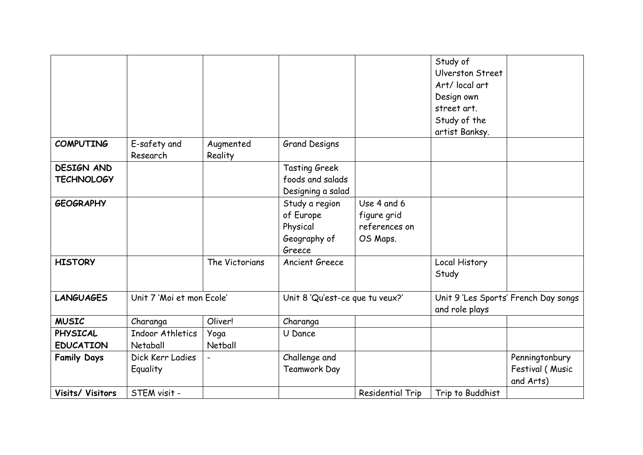|                    |                           |                |                                 |                         | Study of         |                                      |
|--------------------|---------------------------|----------------|---------------------------------|-------------------------|------------------|--------------------------------------|
|                    |                           |                |                                 |                         | Ulverston Street |                                      |
|                    |                           |                |                                 |                         | Art/ local art   |                                      |
|                    |                           |                |                                 |                         | Design own       |                                      |
|                    |                           |                |                                 |                         | street art.      |                                      |
|                    |                           |                |                                 |                         | Study of the     |                                      |
|                    |                           |                |                                 |                         | artist Banksy.   |                                      |
| <b>COMPUTING</b>   | E-safety and              | Augmented      | <b>Grand Designs</b>            |                         |                  |                                      |
|                    | Research                  | Reality        |                                 |                         |                  |                                      |
| <b>DESIGN AND</b>  |                           |                | <b>Tasting Greek</b>            |                         |                  |                                      |
| <b>TECHNOLOGY</b>  |                           |                | foods and salads                |                         |                  |                                      |
|                    |                           |                | Designing a salad               |                         |                  |                                      |
| <b>GEOGRAPHY</b>   |                           |                | Study a region                  | Use 4 and 6             |                  |                                      |
|                    |                           |                | of Europe                       | figure grid             |                  |                                      |
|                    |                           |                | Physical                        | references on           |                  |                                      |
|                    |                           |                | Geography of                    | OS Maps.                |                  |                                      |
|                    |                           |                | Greece                          |                         |                  |                                      |
| <b>HISTORY</b>     |                           | The Victorians | Ancient Greece                  |                         | Local History    |                                      |
|                    |                           |                |                                 |                         | Study            |                                      |
|                    |                           |                |                                 |                         |                  |                                      |
| <b>LANGUAGES</b>   | Unit 7 'Moi et mon Ecole' |                | Unit 8 'Qu'est-ce que tu veux?' |                         |                  | Unit 9 'Les Sports' French Day songs |
|                    |                           |                |                                 |                         | and role plays   |                                      |
| <b>MUSIC</b>       | Charanga                  | Oliver!        | Charanga                        |                         |                  |                                      |
| <b>PHYSICAL</b>    | Indoor Athletics          | Yoga           | U Dance                         |                         |                  |                                      |
| <b>EDUCATION</b>   | Netaball                  | Netball        |                                 |                         |                  |                                      |
| <b>Family Days</b> | Dick Kerr Ladies          |                | Challenge and                   |                         |                  | Penningtonbury                       |
|                    | Equality                  |                | <b>Teamwork Day</b>             |                         |                  | Festival (Music                      |
|                    |                           |                |                                 |                         |                  | and Arts)                            |
| Visits/ Visitors   | STEM visit -              |                |                                 | <b>Residential Trip</b> | Trip to Buddhist |                                      |